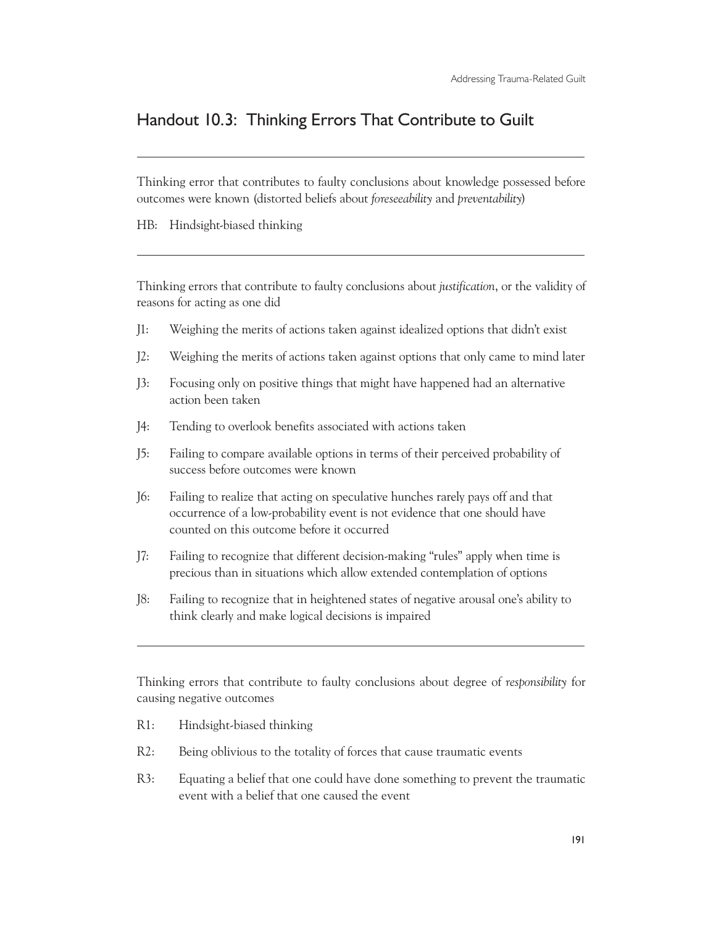## Handout 10.3: Thinking Errors That Contribute to Guilt

Thinking error that contributes to faulty conclusions about knowledge possessed before outcomes were known (distorted beliefs about *foreseeability* and *preventability*)

HB: Hindsight-biased thinking

 $\overline{a}$ 

 $\overline{a}$ 

 $\overline{a}$ 

Thinking errors that contribute to faulty conclusions about *justification*, or the validity of reasons for acting as one did

- J1: Weighing the merits of actions taken against idealized options that didn't exist
- J2: Weighing the merits of actions taken against options that only came to mind later
- J3: Focusing only on positive things that might have happened had an alternative action been taken
- J4: Tending to overlook benefits associated with actions taken
- J5: Failing to compare available options in terms of their perceived probability of success before outcomes were known
- J6: Failing to realize that acting on speculative hunches rarely pays off and that occurrence of a low-probability event is not evidence that one should have counted on this outcome before it occurred
- J7: Failing to recognize that different decision-making "rules" apply when time is precious than in situations which allow extended contemplation of options
- J8: Failing to recognize that in heightened states of negative arousal one's ability to think clearly and make logical decisions is impaired

Thinking errors that contribute to faulty conclusions about degree of *responsibility* for causing negative outcomes

- R1: Hindsight-biased thinking
- R2: Being oblivious to the totality of forces that cause traumatic events
- R3: Equating a belief that one could have done something to prevent the traumatic event with a belief that one caused the event